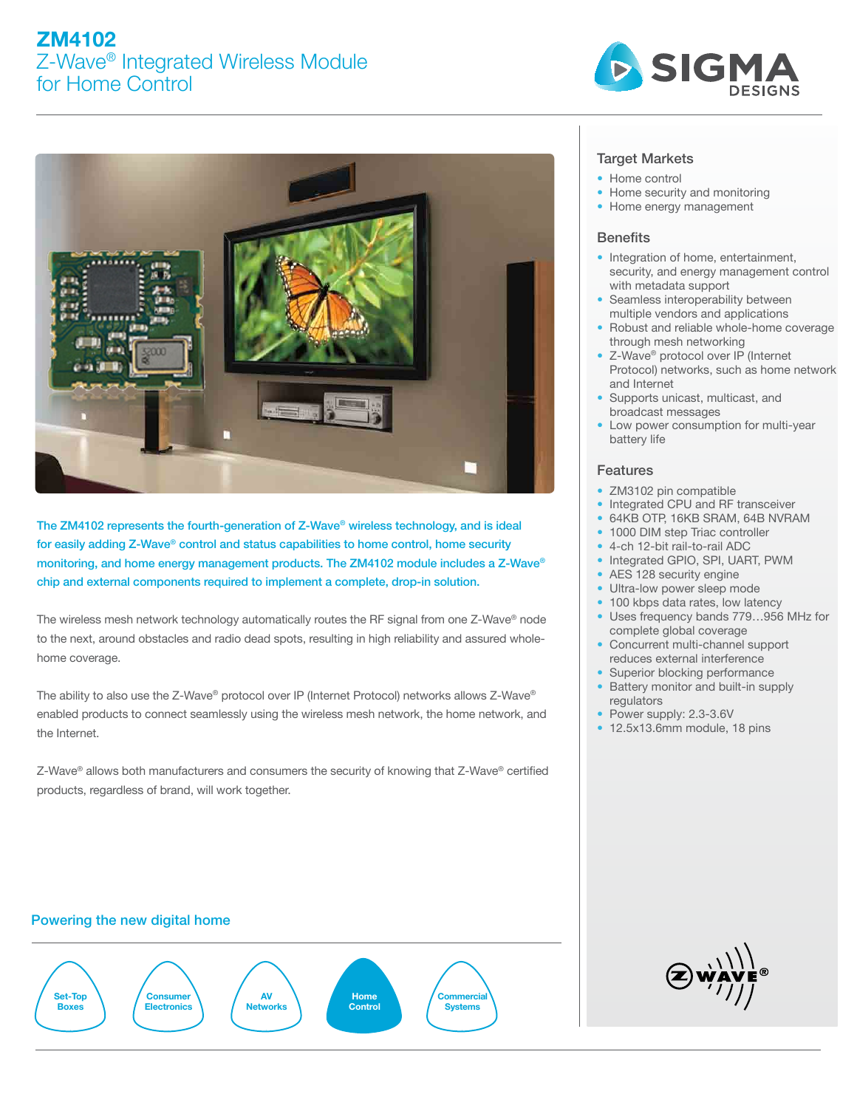# ZM4102 Z-Wave® Integrated Wireless Module for Home Control





The ZM4102 represents the fourth-generation of Z-Wave® wireless technology, and is ideal for easily adding Z-Wave® control and status capabilities to home control, home security monitoring, and home energy management products. The ZM4102 module includes a Z-Wave® chip and external components required to implement a complete, drop-in solution.

The wireless mesh network technology automatically routes the RF signal from one Z-Wave® node to the next, around obstacles and radio dead spots, resulting in high reliability and assured wholehome coverage.

The ability to also use the Z-Wave® protocol over IP (Internet Protocol) networks allows Z-Wave® enabled products to connect seamlessly using the wireless mesh network, the home network, and the Internet.

Z-Wave® allows both manufacturers and consumers the security of knowing that Z-Wave® certified products, regardless of brand, will work together.

## Target Markets

- Home control
- Home security and monitoring
- Home energy management

### **Benefits**

- Integration of home, entertainment, security, and energy management control with metadata support
- Seamless interoperability between multiple vendors and applications
- Robust and reliable whole-home coverage through mesh networking
- Z-Wave® protocol over IP (Internet Protocol) networks, such as home network and Internet
- Supports unicast, multicast, and broadcast messages
- Low power consumption for multi-year battery life

## Features

- ZM3102 pin compatible
- Integrated CPU and RF transceiver
- 64KB OTP, 16KB SRAM, 64B NVRAM
- 1000 DIM step Triac controller
- 4-ch 12-bit rail-to-rail ADC
- Integrated GPIO, SPI, UART, PWM
- AES 128 security engine
- Ultra-low power sleep mode
- 100 kbps data rates, low latency
- Uses frequency bands 779…956 MHz for complete global coverage
- Concurrent multi-channel support reduces external interference
- Superior blocking performance
- Battery monitor and built-in supply regulators
- Power supply: 2.3-3.6V
- 12.5x13.6mm module, 18 pins

# Powering the new digital home